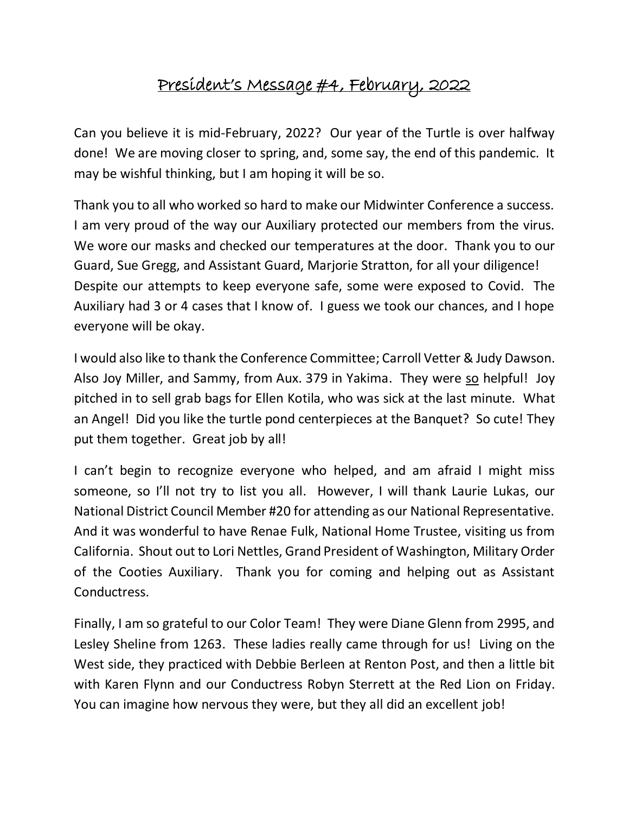## President's Message #4, February, 2022

Can you believe it is mid-February, 2022? Our year of the Turtle is over halfway done! We are moving closer to spring, and, some say, the end of this pandemic. It may be wishful thinking, but I am hoping it will be so.

Thank you to all who worked so hard to make our Midwinter Conference a success. I am very proud of the way our Auxiliary protected our members from the virus. We wore our masks and checked our temperatures at the door. Thank you to our Guard, Sue Gregg, and Assistant Guard, Marjorie Stratton, for all your diligence! Despite our attempts to keep everyone safe, some were exposed to Covid. The Auxiliary had 3 or 4 cases that I know of. I guess we took our chances, and I hope everyone will be okay.

I would also like to thank the Conference Committee; Carroll Vetter & Judy Dawson. Also Joy Miller, and Sammy, from Aux. 379 in Yakima. They were so helpful! Joy pitched in to sell grab bags for Ellen Kotila, who was sick at the last minute. What an Angel! Did you like the turtle pond centerpieces at the Banquet? So cute! They put them together. Great job by all!

I can't begin to recognize everyone who helped, and am afraid I might miss someone, so I'll not try to list you all. However, I will thank Laurie Lukas, our National District Council Member #20 for attending as our National Representative. And it was wonderful to have Renae Fulk, National Home Trustee, visiting us from California. Shout out to Lori Nettles, Grand President of Washington, Military Order of the Cooties Auxiliary. Thank you for coming and helping out as Assistant Conductress.

Finally, I am so grateful to our Color Team! They were Diane Glenn from 2995, and Lesley Sheline from 1263. These ladies really came through for us! Living on the West side, they practiced with Debbie Berleen at Renton Post, and then a little bit with Karen Flynn and our Conductress Robyn Sterrett at the Red Lion on Friday. You can imagine how nervous they were, but they all did an excellent job!